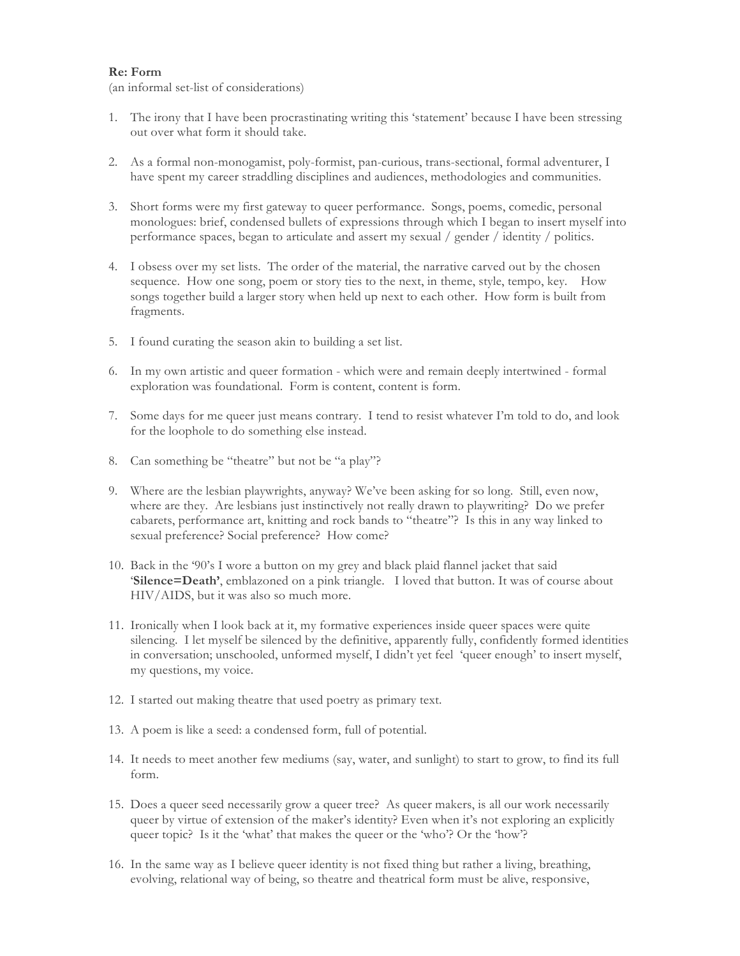## **Re: Form**

(an informal set-list of considerations)

- 1. The irony that I have been procrastinating writing this 'statement' because I have been stressing out over what form it should take.
- 2. As a formal non-monogamist, poly-formist, pan-curious, trans-sectional, formal adventurer, I have spent my career straddling disciplines and audiences, methodologies and communities.
- 3. Short forms were my first gateway to queer performance. Songs, poems, comedic, personal monologues: brief, condensed bullets of expressions through which I began to insert myself into performance spaces, began to articulate and assert my sexual / gender / identity / politics.
- 4. I obsess over my set lists. The order of the material, the narrative carved out by the chosen sequence. How one song, poem or story ties to the next, in theme, style, tempo, key. How songs together build a larger story when held up next to each other. How form is built from fragments.
- 5. I found curating the season akin to building a set list.
- 6. In my own artistic and queer formation which were and remain deeply intertwined formal exploration was foundational. Form is content, content is form.
- 7. Some days for me queer just means contrary. I tend to resist whatever I'm told to do, and look for the loophole to do something else instead.
- 8. Can something be "theatre" but not be "a play"?
- 9. Where are the lesbian playwrights, anyway? We've been asking for so long. Still, even now, where are they. Are lesbians just instinctively not really drawn to playwriting? Do we prefer cabarets, performance art, knitting and rock bands to "theatre"? Is this in any way linked to sexual preference? Social preference? How come?
- 10. Back in the '90's I wore a button on my grey and black plaid flannel jacket that said '**Silence=Death'**, emblazoned on a pink triangle. I loved that button. It was of course about HIV/AIDS, but it was also so much more.
- 11. Ironically when I look back at it, my formative experiences inside queer spaces were quite silencing. I let myself be silenced by the definitive, apparently fully, confidently formed identities in conversation; unschooled, unformed myself, I didn't yet feel 'queer enough' to insert myself, my questions, my voice.
- 12. I started out making theatre that used poetry as primary text.
- 13. A poem is like a seed: a condensed form, full of potential.
- 14. It needs to meet another few mediums (say, water, and sunlight) to start to grow, to find its full form.
- 15. Does a queer seed necessarily grow a queer tree? As queer makers, is all our work necessarily queer by virtue of extension of the maker's identity? Even when it's not exploring an explicitly queer topic? Is it the 'what' that makes the queer or the 'who'? Or the 'how'?
- 16. In the same way as I believe queer identity is not fixed thing but rather a living, breathing, evolving, relational way of being, so theatre and theatrical form must be alive, responsive,